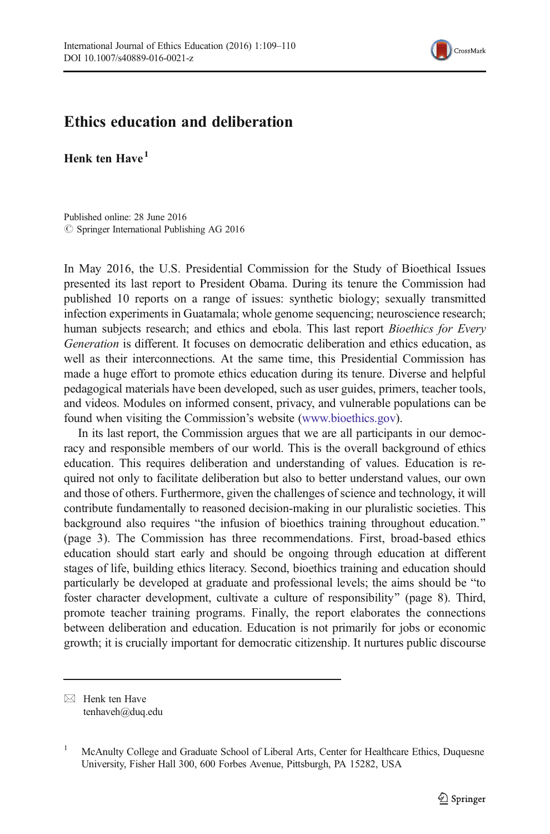

## Ethics education and deliberation

Henk ten  $H$ ave $<sup>1</sup>$ </sup>

Published online: 28 June 2016  $\circ$  Springer International Publishing AG 2016

In May 2016, the U.S. Presidential Commission for the Study of Bioethical Issues presented its last report to President Obama. During its tenure the Commission had published 10 reports on a range of issues: synthetic biology; sexually transmitted infection experiments in Guatamala; whole genome sequencing; neuroscience research; human subjects research; and ethics and ebola. This last report Bioethics for Every Generation is different. It focuses on democratic deliberation and ethics education, as well as their interconnections. At the same time, this Presidential Commission has made a huge effort to promote ethics education during its tenure. Diverse and helpful pedagogical materials have been developed, such as user guides, primers, teacher tools, and videos. Modules on informed consent, privacy, and vulnerable populations can be found when visiting the Commission's website [\(www.bioethics.gov](http://www.bioethics.gov/)).

In its last report, the Commission argues that we are all participants in our democracy and responsible members of our world. This is the overall background of ethics education. This requires deliberation and understanding of values. Education is required not only to facilitate deliberation but also to better understand values, our own and those of others. Furthermore, given the challenges of science and technology, it will contribute fundamentally to reasoned decision-making in our pluralistic societies. This background also requires "the infusion of bioethics training throughout education." (page 3). The Commission has three recommendations. First, broad-based ethics education should start early and should be ongoing through education at different stages of life, building ethics literacy. Second, bioethics training and education should particularly be developed at graduate and professional levels; the aims should be "to foster character development, cultivate a culture of responsibility" (page 8). Third, promote teacher training programs. Finally, the report elaborates the connections between deliberation and education. Education is not primarily for jobs or economic growth; it is crucially important for democratic citizenship. It nurtures public discourse

 $\boxtimes$  Henk ten Have tenhaveh@duq.edu

<sup>1</sup> McAnulty College and Graduate School of Liberal Arts, Center for Healthcare Ethics, Duquesne University, Fisher Hall 300, 600 Forbes Avenue, Pittsburgh, PA 15282, USA